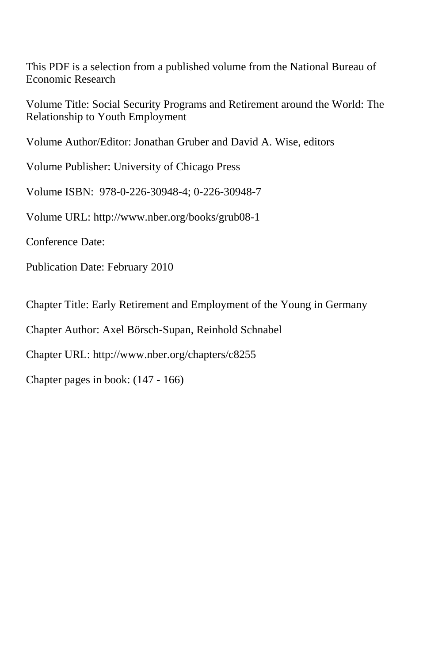This PDF is a selection from a published volume from the National Bureau of Economic Research

Volume Title: Social Security Programs and Retirement around the World: The Relationship to Youth Employment

Volume Author/Editor: Jonathan Gruber and David A. Wise, editors

Volume Publisher: University of Chicago Press

Volume ISBN: 978-0-226-30948-4; 0-226-30948-7

Volume URL: http://www.nber.org/books/grub08-1

Conference Date:

Publication Date: February 2010

Chapter Title: Early Retirement and Employment of the Young in Germany

Chapter Author: Axel Börsch-Supan, Reinhold Schnabel

Chapter URL: http://www.nber.org/chapters/c8255

Chapter pages in book: (147 - 166)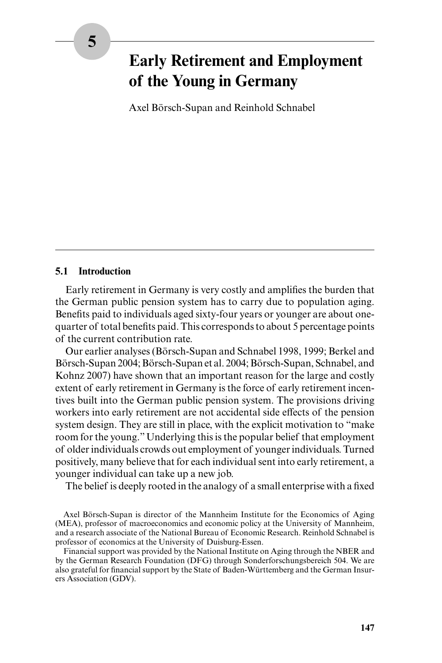# **Early Retirement and Employment of the Young in Germany**

Axel Börsch- Supan and Reinhold Schnabel

#### **5.1 Introduction**

Early retirement in Germany is very costly and amplifies the burden that the German public pension system has to carry due to population aging. Benefits paid to individuals aged sixty-four years or younger are about onequarter of total benefits paid. This corresponds to about 5 percentage points of the current contribution rate.

Our earlier analyses (Börsch- Supan and Schnabel 1998, 1999; Berkel and Börsch- Supan 2004; Börsch- Supan et al. 2004; Börsch- Supan, Schnabel, and Kohnz 2007) have shown that an important reason for the large and costly extent of early retirement in Germany is the force of early retirement incentives built into the German public pension system. The provisions driving workers into early retirement are not accidental side effects of the pension system design. They are still in place, with the explicit motivation to "make room for the young." Underlying this is the popular belief that employment of older individuals crowds out employment of younger individuals. Turned positively, many believe that for each individual sent into early retirement, a younger individual can take up a new job.

The belief is deeply rooted in the analogy of a small enterprise with a fixed

Axel Börsch- Supan is director of the Mannheim Institute for the Economics of Aging (MEA), professor of macroeconomics and economic policy at the University of Mannheim, and a research associate of the National Bureau of Economic Research. Reinhold Schnabel is professor of economics at the University of Duisburg-Essen.

Financial support was provided by the National Institute on Aging through the NBER and by the German Research Foundation (DFG) through Sonderforschungsbereich 504. We are also grateful for financial support by the State of Baden-Württemberg and the German Insurers Association (GDV).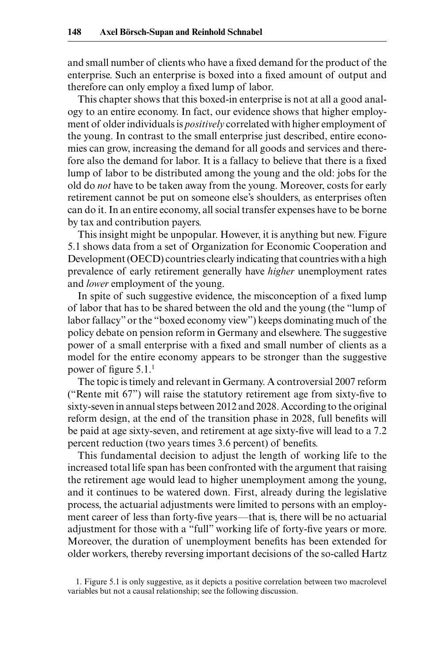and small number of clients who have a fixed demand for the product of the enterprise. Such an enterprise is boxed into a fixed amount of output and therefore can only employ a fixed lump of labor.

This chapter shows that this boxed-in enterprise is not at all a good analogy to an entire economy. In fact, our evidence shows that higher employment of older individuals is *positively* correlated with higher employment of the young. In contrast to the small enterprise just described, entire economies can grow, increasing the demand for all goods and services and therefore also the demand for labor. It is a fallacy to believe that there is a fixed lump of labor to be distributed among the young and the old: jobs for the old do *not* have to be taken away from the young. Moreover, costs for early retirement cannot be put on someone else's shoulders, as enterprises often can do it. In an entire economy, all social transfer expenses have to be borne by tax and contribution payers.

This insight might be unpopular. However, it is anything but new. Figure 5.1 shows data from a set of Organization for Economic Cooperation and Development (OECD) countries clearly indicating that countries with a high prevalence of early retirement generally have *higher* unemployment rates and *lower* employment of the young.

In spite of such suggestive evidence, the misconception of a fixed lump of labor that has to be shared between the old and the young (the "lump of labor fallacy" or the "boxed economy view") keeps dominating much of the policy debate on pension reform in Germany and elsewhere. The suggestive power of a small enterprise with a fixed and small number of clients as a model for the entire economy appears to be stronger than the suggestive power of figure  $5.1$ .<sup>1</sup>

The topic is timely and relevant in Germany. A controversial 2007 reform ("Rente mit  $67$ ") will raise the statutory retirement age from sixty-five to sixty-seven in annual steps between 2012 and 2028. According to the original reform design, at the end of the transition phase in 2028, full benefits will be paid at age sixty-seven, and retirement at age sixty-five will lead to a 7.2 percent reduction (two years times 3.6 percent) of benefits.

This fundamental decision to adjust the length of working life to the increased total life span has been confronted with the argument that raising the retirement age would lead to higher unemployment among the young, and it continues to be watered down. First, already during the legislative process, the actuarial adjustments were limited to persons with an employment career of less than forty-five years—that is, there will be no actuarial adjustment for those with a "full" working life of forty-five years or more. Moreover, the duration of unemployment benefits has been extended for older workers, thereby reversing important decisions of the so- called Hartz

<sup>1.</sup> Figure 5.1 is only suggestive, as it depicts a positive correlation between two macrolevel variables but not a causal relationship; see the following discussion.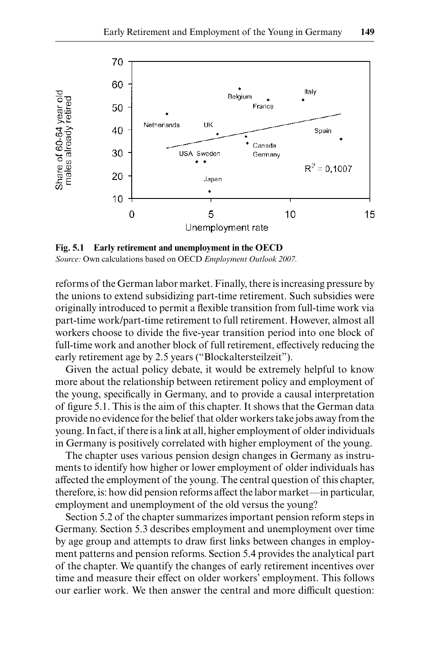

**Fig. 5.1 Early retirement and unemployment in the OECD** *Source:* Own calculations based on OECD *Employment Outlook 2007.*

reforms of the German labor market. Finally, there is increasing pressure by the unions to extend subsidizing part- time retirement. Such subsidies were originally introduced to permit a flexible transition from full-time work via part-time work/part-time retirement to full retirement. However, almost all workers choose to divide the five-year transition period into one block of full- time work and another block of full retirement, effectively reducing the early retirement age by 2.5 years ("Blockaltersteilzeit").

Given the actual policy debate, it would be extremely helpful to know more about the relationship between retirement policy and employment of the young, specifically in Germany, and to provide a causal interpretation of figure 5.1. This is the aim of this chapter. It shows that the German data provide no evidence for the belief that older workers take jobs away from the young. In fact, if there is a link at all, higher employment of older individuals in Germany is positively correlated with higher employment of the young.

The chapter uses various pension design changes in Germany as instruments to identify how higher or lower employment of older individuals has affected the employment of the young. The central question of this chapter, therefore, is: how did pension reforms affect the labor market—in particular, employment and unemployment of the old versus the young?

Section 5.2 of the chapter summarizes important pension reform steps in Germany. Section 5.3 describes employment and unemployment over time by age group and attempts to draw first links between changes in employment patterns and pension reforms. Section 5.4 provides the analytical part of the chapter. We quantify the changes of early retirement incentives over time and measure their effect on older workers' employment. This follows our earlier work. We then answer the central and more difficult question: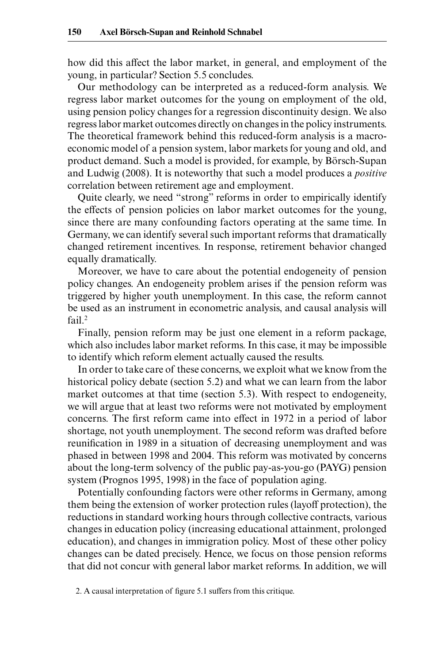how did this affect the labor market, in general, and employment of the young, in particular? Section 5.5 concludes.

Our methodology can be interpreted as a reduced- form analysis. We regress labor market outcomes for the young on employment of the old, using pension policy changes for a regression discontinuity design. We also regress labor market outcomes directly on changes in the policy instruments. The theoretical framework behind this reduced- form analysis is a macroeconomic model of a pension system, labor markets for young and old, and product demand. Such a model is provided, for example, by Börsch- Supan and Ludwig (2008). It is noteworthy that such a model produces a *positive* correlation between retirement age and employment.

Quite clearly, we need "strong" reforms in order to empirically identify the effects of pension policies on labor market outcomes for the young, since there are many confounding factors operating at the same time. In Germany, we can identify several such important reforms that dramatically changed retirement incentives. In response, retirement behavior changed equally dramatically.

Moreover, we have to care about the potential endogeneity of pension policy changes. An endogeneity problem arises if the pension reform was triggered by higher youth unemployment. In this case, the reform cannot be used as an instrument in econometric analysis, and causal analysis will fail.2

Finally, pension reform may be just one element in a reform package, which also includes labor market reforms. In this case, it may be impossible to identify which reform element actually caused the results.

In order to take care of these concerns, we exploit what we know from the historical policy debate (section 5.2) and what we can learn from the labor market outcomes at that time (section 5.3). With respect to endogeneity, we will argue that at least two reforms were not motivated by employment concerns. The first reform came into effect in 1972 in a period of labor shortage, not youth unemployment. The second reform was drafted before reunification in 1989 in a situation of decreasing unemployment and was phased in between 1998 and 2004. This reform was motivated by concerns about the long-term solvency of the public pay-as-you-go (PAYG) pension system (Prognos 1995, 1998) in the face of population aging.

Potentially confounding factors were other reforms in Germany, among them being the extension of worker protection rules (layoff protection), the reductions in standard working hours through collective contracts, various changes in education policy (increasing educational attainment, prolonged education), and changes in immigration policy. Most of these other policy changes can be dated precisely. Hence, we focus on those pension reforms that did not concur with general labor market reforms. In addition, we will

2. A causal interpretation of figure 5.1 suffers from this critique.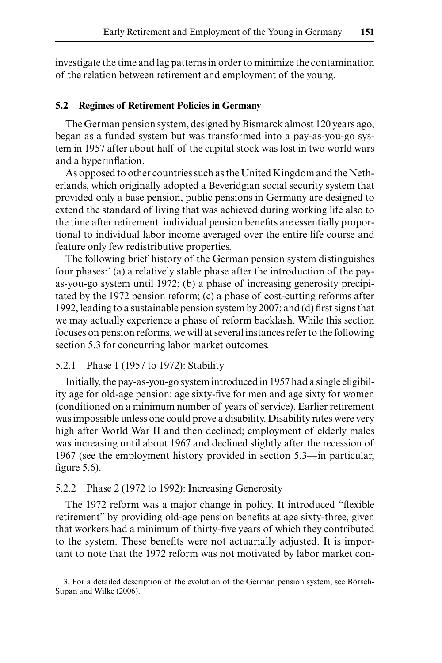investigate the time and lag patterns in order to minimize the contamination of the relation between retirement and employment of the young.

#### **5.2 Regimes of Retirement Policies in Germany**

The German pension system, designed by Bismarck almost 120 years ago, began as a funded system but was transformed into a pay-as-you-go system in 1957 after about half of the capital stock was lost in two world wars and a hyperinflation.

As opposed to other countries such as the United Kingdom and the Netherlands, which originally adopted a Beveridgian social security system that provided only a base pension, public pensions in Germany are designed to extend the standard of living that was achieved during working life also to the time after retirement: individual pension benefits are essentially proportional to individual labor income averaged over the entire life course and feature only few redistributive properties.

The following brief history of the German pension system distinguishes four phases:<sup>3</sup> (a) a relatively stable phase after the introduction of the payas- you- go system until 1972; (b) a phase of increasing generosity precipitated by the 1972 pension reform; (c) a phase of cost- cutting reforms after 1992, leading to a sustainable pension system by  $2007$ ; and (d) first signs that we may actually experience a phase of reform backlash. While this section focuses on pension reforms, we will at several instances refer to the following section 5.3 for concurring labor market outcomes.

#### 5.2.1 Phase 1 (1957 to 1972): Stability

Initially, the pay-as-you-go system introduced in 1957 had a single eligibility age for old-age pension: age sixty-five for men and age sixty for women (conditioned on a minimum number of years of service). Earlier retirement was impossible unless one could prove a disability. Disability rates were very high after World War II and then declined; employment of elderly males was increasing until about 1967 and declined slightly after the recession of 1967 (see the employment history provided in section 5.3—in particular, figure  $5.6$ ).

#### 5.2.2 Phase 2 (1972 to 1992): Increasing Generosity

The 1972 reform was a major change in policy. It introduced "flexible" retirement" by providing old-age pension benefits at age sixty-three, given that workers had a minimum of thirty-five years of which they contributed to the system. These benefits were not actuarially adjusted. It is important to note that the 1972 reform was not motivated by labor market con-

<sup>3.</sup> For a detailed description of the evolution of the German pension system, see Börsch- Supan and Wilke (2006).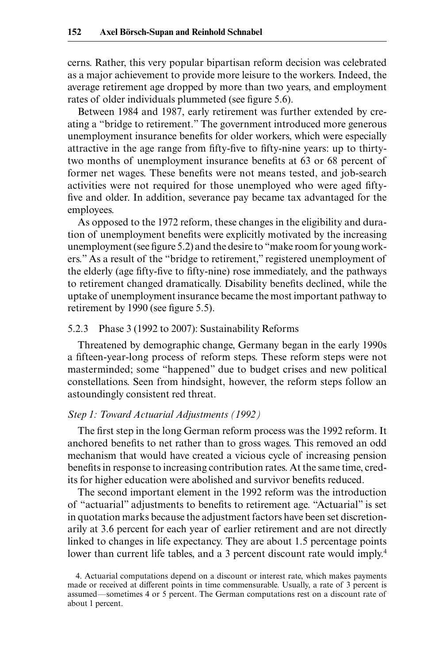cerns. Rather, this very popular bipartisan reform decision was celebrated as a major achievement to provide more leisure to the workers. Indeed, the average retirement age dropped by more than two years, and employment rates of older individuals plummeted (see figure 5.6).

Between 1984 and 1987, early retirement was further extended by creating a "bridge to retirement." The government introduced more generous unemployment insurance benefits for older workers, which were especially attractive in the age range from fifty-five to fifty-nine years: up to thirtytwo months of unemployment insurance benefits at 63 or 68 percent of former net wages. These benefits were not means tested, and job-search activities were not required for those unemployed who were aged fiftyfive and older. In addition, severance pay became tax advantaged for the employees.

As opposed to the 1972 reform, these changes in the eligibility and duration of unemployment benefits were explicitly motivated by the increasing unemployment (see figure 5.2) and the desire to "make room for young workers." As a result of the "bridge to retirement," registered unemployment of the elderly (age fifty-five to fifty-nine) rose immediately, and the pathways to retirement changed dramatically. Disability benefits declined, while the uptake of unemployment insurance became the most important pathway to retirement by 1990 (see figure 5.5).

#### 5.2.3 Phase 3 (1992 to 2007): Sustainability Reforms

Threatened by demographic change, Germany began in the early 1990s a fifteen-year-long process of reform steps. These reform steps were not masterminded; some "happened" due to budget crises and new political constellations. Seen from hindsight, however, the reform steps follow an astoundingly consistent red threat.

## *Step 1: Toward Actuarial Adjustments (1992)*

The first step in the long German reform process was the 1992 reform. It anchored benefits to net rather than to gross wages. This removed an odd mechanism that would have created a vicious cycle of increasing pension benefits in response to increasing contribution rates. At the same time, credits for higher education were abolished and survivor benefits reduced.

The second important element in the 1992 reform was the introduction of "actuarial" adjustments to benefits to retirement age. "Actuarial" is set in quotation marks because the adjustment factors have been set discretionarily at 3.6 percent for each year of earlier retirement and are not directly linked to changes in life expectancy. They are about 1.5 percentage points lower than current life tables, and a 3 percent discount rate would imply.<sup>4</sup>

<sup>4.</sup> Actuarial computations depend on a discount or interest rate, which makes payments made or received at different points in time commensurable. Usually, a rate of 3 percent is assumed—sometimes 4 or 5 percent. The German computations rest on a discount rate of about 1 percent.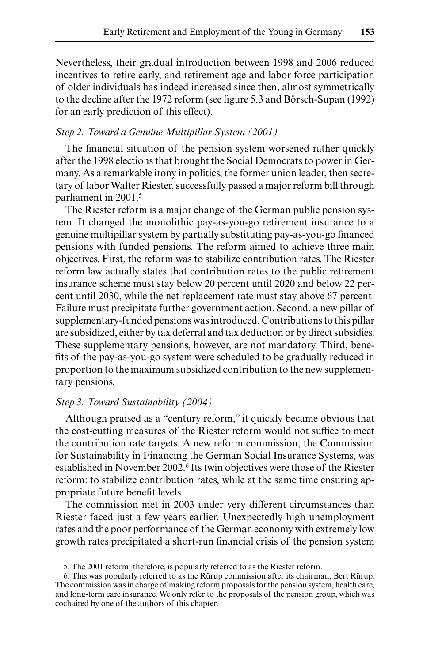Nevertheless, their gradual introduction between 1998 and 2006 reduced incentives to retire early, and retirement age and labor force participation of older individuals has indeed increased since then, almost symmetrically to the decline after the 1972 reform (see figure 5.3 and Börsch-Supan (1992) for an early prediction of this effect).

## *Step 2: Toward a Genuine Multipillar System (2001)*

The financial situation of the pension system worsened rather quickly after the 1998 elections that brought the Social Democrats to power in Germany. As a remarkable irony in politics, the former union leader, then secretary of labor Walter Riester, successfully passed a major reform bill through parliament in 2001.<sup>5</sup>

The Riester reform is a major change of the German public pension system. It changed the monolithic pay-as-you-go retirement insurance to a genuine multipillar system by partially substituting pay-as-you-go financed pensions with funded pensions. The reform aimed to achieve three main objectives. First, the reform was to stabilize contribution rates. The Riester reform law actually states that contribution rates to the public retirement insurance scheme must stay below 20 percent until 2020 and below 22 percent until 2030, while the net replacement rate must stay above 67 percent. Failure must precipitate further government action. Second, a new pillar of supplementary-funded pensions was introduced. Contributions to this pillar are subsidized, either by tax deferral and tax deduction or by direct subsidies. These supplementary pensions, however, are not mandatory. Third, benefits of the pay-as-you-go system were scheduled to be gradually reduced in proportion to the maximum subsidized contribution to the new supplementary pensions.

## *Step 3: Toward Sustainability (2004)*

Although praised as a "century reform," it quickly became obvious that the cost- cutting measures of the Riester reform would not suffice to meet the contribution rate targets. A new reform commission, the Commission for Sustainability in Financing the German Social Insurance Systems, was established in November 2002.<sup>6</sup> Its twin objectives were those of the Riester reform: to stabilize contribution rates, while at the same time ensuring appropriate future benefit levels.

The commission met in 2003 under very different circumstances than Riester faced just a few years earlier. Unexpectedly high unemployment rates and the poor performance of the German economy with extremely low growth rates precipitated a short-run financial crisis of the pension system

<sup>5.</sup> The 2001 reform, therefore, is popularly referred to as the Riester reform.

<sup>6.</sup> This was popularly referred to as the Rürup commission after its chairman, Bert Rürup. The commission was in charge of making reform proposals for the pension system, health care, and long- term care insurance. We only refer to the proposals of the pension group, which was cochaired by one of the authors of this chapter.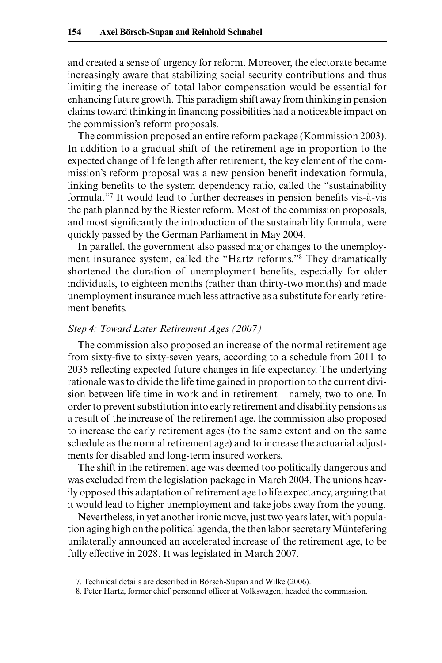and created a sense of urgency for reform. Moreover, the electorate became increasingly aware that stabilizing social security contributions and thus limiting the increase of total labor compensation would be essential for enhancing future growth. This paradigm shift away from thinking in pension claims toward thinking in financing possibilities had a noticeable impact on the commission's reform proposals.

The commission proposed an entire reform package (Kommission 2003). In addition to a gradual shift of the retirement age in proportion to the expected change of life length after retirement, the key element of the commission's reform proposal was a new pension benefit indexation formula, linking benefits to the system dependency ratio, called the "sustainability" formula."<sup>7</sup> It would lead to further decreases in pension benefits vis-à-vis the path planned by the Riester reform. Most of the commission proposals, and most significantly the introduction of the sustainability formula, were quickly passed by the German Parliament in May 2004.

In parallel, the government also passed major changes to the unemployment insurance system, called the "Hartz reforms."8 They dramatically shortened the duration of unemployment benefits, especially for older individuals, to eighteen months (rather than thirty-two months) and made unemployment insurance much less attractive as a substitute for early retirement benefits.

#### *Step 4: Toward Later Retirement Ages (2007)*

The commission also proposed an increase of the normal retirement age from sixty-five to sixty-seven years, according to a schedule from 2011 to 2035 reflecting expected future changes in life expectancy. The underlying rationale was to divide the life time gained in proportion to the current division between life time in work and in retirement—namely, two to one. In order to prevent substitution into early retirement and disability pensions as a result of the increase of the retirement age, the commission also proposed to increase the early retirement ages (to the same extent and on the same schedule as the normal retirement age) and to increase the actuarial adjustments for disabled and long-term insured workers.

The shift in the retirement age was deemed too politically dangerous and was excluded from the legislation package in March 2004. The unions heavily opposed this adaptation of retirement age to life expectancy, arguing that it would lead to higher unemployment and take jobs away from the young.

Nevertheless, in yet another ironic move, just two years later, with population aging high on the political agenda, the then labor secretary Müntefering unilaterally announced an accelerated increase of the retirement age, to be fully effective in 2028. It was legislated in March 2007.

<sup>7.</sup> Technical details are described in Börsch- Supan and Wilke (2006).

<sup>8.</sup> Peter Hartz, former chief personnel officer at Volkswagen, headed the commission.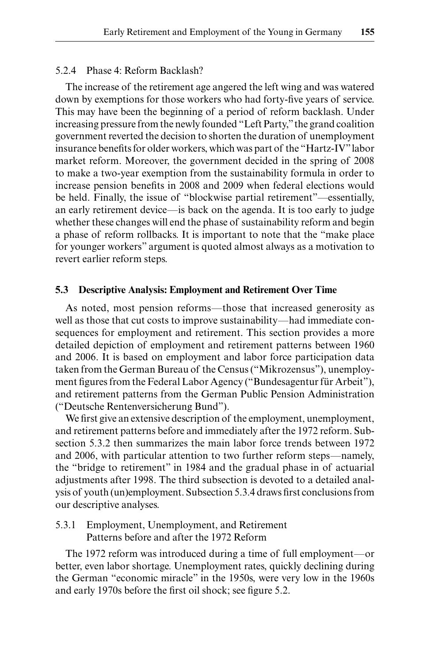#### 5.2.4 Phase 4: Reform Backlash?

The increase of the retirement age angered the left wing and was watered down by exemptions for those workers who had forty-five years of service. This may have been the beginning of a period of reform backlash. Under increasing pressure from the newly founded "Left Party," the grand coalition government reverted the decision to shorten the duration of unemployment insurance benefits for older workers, which was part of the "Hartz-IV" labor market reform. Moreover, the government decided in the spring of 2008 to make a two- year exemption from the sustainability formula in order to increase pension benefits in 2008 and 2009 when federal elections would be held. Finally, the issue of "blockwise partial retirement"—essentially, an early retirement device—is back on the agenda. It is too early to judge whether these changes will end the phase of sustainability reform and begin a phase of reform rollbacks. It is important to note that the "make place for younger workers" argument is quoted almost always as a motivation to revert earlier reform steps.

### **5.3 Descriptive Analysis: Employment and Retirement Over Time**

As noted, most pension reforms—those that increased generosity as well as those that cut costs to improve sustainability—had immediate consequences for employment and retirement. This section provides a more detailed depiction of employment and retirement patterns between 1960 and 2006. It is based on employment and labor force participation data taken from the German Bureau of the Census ("Mikrozensus"), unemployment figures from the Federal Labor Agency ("Bundesagentur für Arbeit"), and retirement patterns from the German Public Pension Administration ("Deutsche Rentenversicherung Bund").

We first give an extensive description of the employment, unemployment, and retirement patterns before and immediately after the 1972 reform. Subsection 5.3.2 then summarizes the main labor force trends between 1972 and 2006, with particular attention to two further reform steps—namely, the "bridge to retirement" in 1984 and the gradual phase in of actuarial adjustments after 1998. The third subsection is devoted to a detailed analysis of youth (un)employment. Subsection 5.3.4 draws first conclusions from our descriptive analyses.

## 5.3.1 Employment, Unemployment, and Retirement Patterns before and after the 1972 Reform

The 1972 reform was introduced during a time of full employment—or better, even labor shortage. Unemployment rates, quickly declining during the German "economic miracle" in the 1950s, were very low in the 1960s and early 1970s before the first oil shock; see figure 5.2.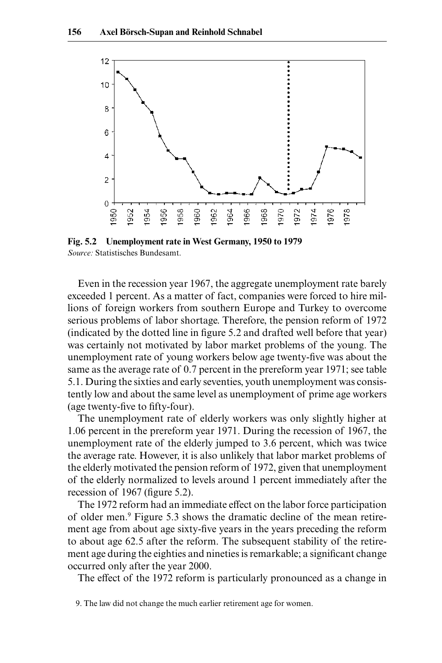

**Fig. 5.2 Unemployment rate in West Germany, 1950 to 1979** *Source:* Statistisches Bundesamt.

Even in the recession year 1967, the aggregate unemployment rate barely exceeded 1 percent. As a matter of fact, companies were forced to hire millions of foreign workers from southern Europe and Turkey to overcome serious problems of labor shortage. Therefore, the pension reform of 1972 (indicated by the dotted line in figure  $5.2$  and drafted well before that year) was certainly not motivated by labor market problems of the young. The unemployment rate of young workers below age twenty-five was about the same as the average rate of 0.7 percent in the prereform year 1971; see table 5.1. During the sixties and early seventies, youth unemployment was consistently low and about the same level as unemployment of prime age workers (age twenty-five to fifty-four).

The unemployment rate of elderly workers was only slightly higher at 1.06 percent in the prereform year 1971. During the recession of 1967, the unemployment rate of the elderly jumped to 3.6 percent, which was twice the average rate. However, it is also unlikely that labor market problems of the elderly motivated the pension reform of 1972, given that unemployment of the elderly normalized to levels around 1 percent immediately after the recession of  $1967$  (figure 5.2).

The 1972 reform had an immediate effect on the labor force participation of older men.<sup>9</sup> Figure 5.3 shows the dramatic decline of the mean retirement age from about age sixty-five years in the years preceding the reform to about age 62.5 after the reform. The subsequent stability of the retirement age during the eighties and nineties is remarkable; a significant change occurred only after the year 2000.

The effect of the 1972 reform is particularly pronounced as a change in

<sup>9.</sup> The law did not change the much earlier retirement age for women.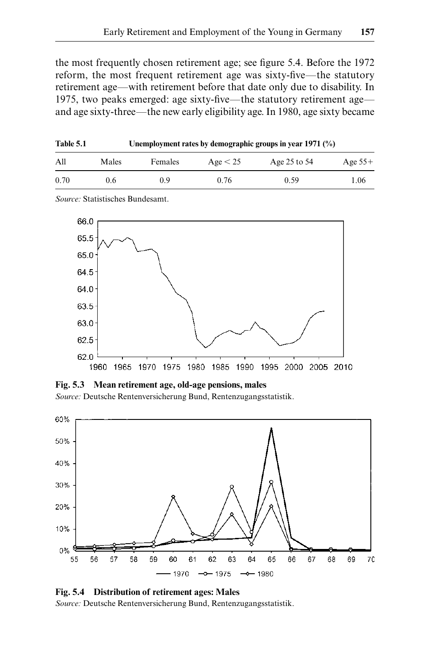the most frequently chosen retirement age; see figure 5.4. Before the 1972 reform, the most frequent retirement age was sixty-five—the statutory retirement age—with retirement before that date only due to disability. In 1975, two peaks emerged: age sixty-five—the statutory retirement age and age sixty- three—the new early eligibility age. In 1980, age sixty became

| Table 5.1<br>All | Unemployment rates by demographic groups in year 1971 $(\%)$ |         |          |              |           |  |  |
|------------------|--------------------------------------------------------------|---------|----------|--------------|-----------|--|--|
|                  | Males                                                        | Females | Aee < 25 | Age 25 to 54 | Age $55+$ |  |  |
| 0.70             | 0.6                                                          | 09      | 0.76     | 0.59         | 1.06      |  |  |

*Source:* Statistisches Bundesamt.



Fig. 5.3 Mean retirement age, old-age pensions, males

*Source:* Deutsche Rentenversicherung Bund, Rentenzugangsstatistik.



**Fig. 5.4 Distribution of retirement ages: Males** *Source:* Deutsche Rentenversicherung Bund, Rentenzugangsstatistik.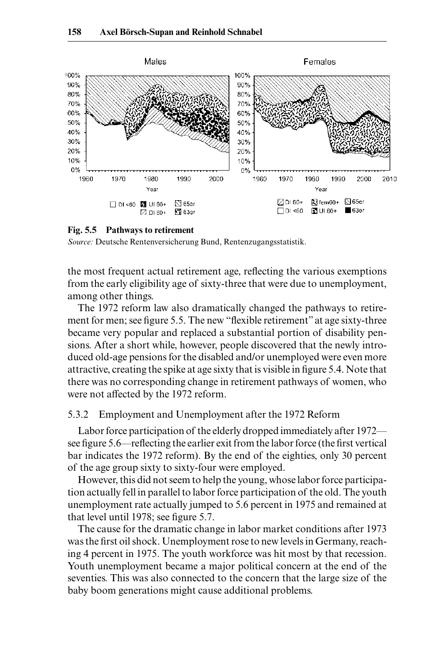

**Fig. 5.5 Pathways to retirement**

*Source:* Deutsche Rentenversicherung Bund, Rentenzugangsstatistik.

the most frequent actual retirement age, reflecting the various exemptions from the early eligibility age of sixty- three that were due to unemployment, among other things.

The 1972 reform law also dramatically changed the pathways to retirement for men; see figure 5.5. The new "flexible retirement" at age sixty-three became very popular and replaced a substantial portion of disability pensions. After a short while, however, people discovered that the newly introduced old- age pensions for the disabled and/or unemployed were even more attractive, creating the spike at age sixty that is visible in figure 5.4. Note that there was no corresponding change in retirement pathways of women, who were not affected by the 1972 reform.

#### 5.3.2 Employment and Unemployment after the 1972 Reform

Labor force participation of the elderly dropped immediately after 1972 see figure 5.6—reflecting the earlier exit from the labor force (the first vertical bar indicates the 1972 reform). By the end of the eighties, only 30 percent of the age group sixty to sixty- four were employed.

However, this did not seem to help the young, whose labor force participation actually fell in parallel to labor force participation of the old. The youth unemployment rate actually jumped to 5.6 percent in 1975 and remained at that level until 1978; see figure 5.7.

The cause for the dramatic change in labor market conditions after 1973 was the first oil shock. Unemployment rose to new levels in Germany, reaching 4 percent in 1975. The youth workforce was hit most by that recession. Youth unemployment became a major political concern at the end of the seventies. This was also connected to the concern that the large size of the baby boom generations might cause additional problems.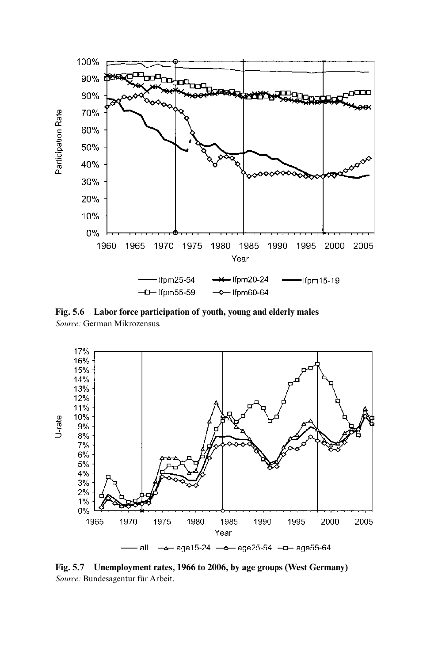

**Fig. 5.6 Labor force participation of youth, young and elderly males** *Source:* German Mikrozensus.



**Fig. 5.7 Unemployment rates, 1966 to 2006, by age groups (West Germany)** *Source:* Bundesagentur für Arbeit.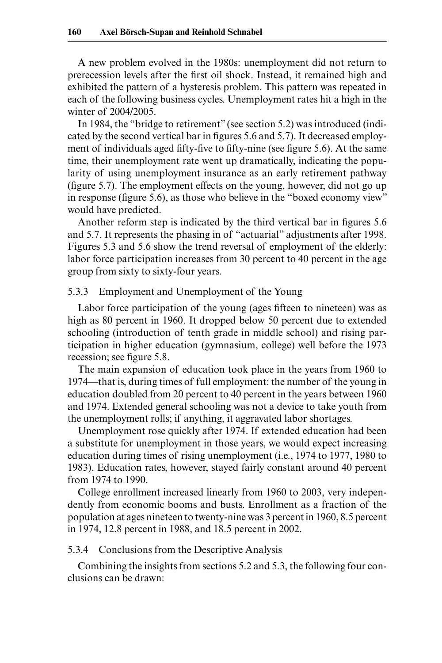A new problem evolved in the 1980s: unemployment did not return to prerecession levels after the first oil shock. Instead, it remained high and exhibited the pattern of a hysteresis problem. This pattern was repeated in each of the following business cycles. Unemployment rates hit a high in the winter of 2004/2005.

In 1984, the "bridge to retirement" (see section 5.2) was introduced (indicated by the second vertical bar in figures 5.6 and 5.7). It decreased employment of individuals aged fifty-five to fifty-nine (see figure 5.6). At the same time, their unemployment rate went up dramatically, indicating the popularity of using unemployment insurance as an early retirement pathway (figure 5.7). The employment effects on the young, however, did not go up in response (figure 5.6), as those who believe in the "boxed economy view" would have predicted.

Another reform step is indicated by the third vertical bar in figures 5.6 and 5.7. It represents the phasing in of "actuarial" adjustments after 1998. Figures 5.3 and 5.6 show the trend reversal of employment of the elderly: labor force participation increases from 30 percent to 40 percent in the age group from sixty to sixty-four years.

#### 5.3.3 Employment and Unemployment of the Young

Labor force participation of the young (ages fifteen to nineteen) was as high as 80 percent in 1960. It dropped below 50 percent due to extended schooling (introduction of tenth grade in middle school) and rising participation in higher education (gymnasium, college) well before the 1973 recession; see figure 5.8.

The main expansion of education took place in the years from 1960 to 1974—that is, during times of full employment: the number of the young in education doubled from 20 percent to 40 percent in the years between 1960 and 1974. Extended general schooling was not a device to take youth from the unemployment rolls; if anything, it aggravated labor shortages.

Unemployment rose quickly after 1974. If extended education had been a substitute for unemployment in those years, we would expect increasing education during times of rising unemployment (i.e., 1974 to 1977, 1980 to 1983). Education rates, however, stayed fairly constant around 40 percent from 1974 to 1990.

College enrollment increased linearly from 1960 to 2003, very independently from economic booms and busts. Enrollment as a fraction of the population at ages nineteen to twenty- nine was 3 percent in 1960, 8.5 percent in 1974, 12.8 percent in 1988, and 18.5 percent in 2002.

#### 5.3.4 Conclusions from the Descriptive Analysis

Combining the insights from sections 5.2 and 5.3, the following four conclusions can be drawn: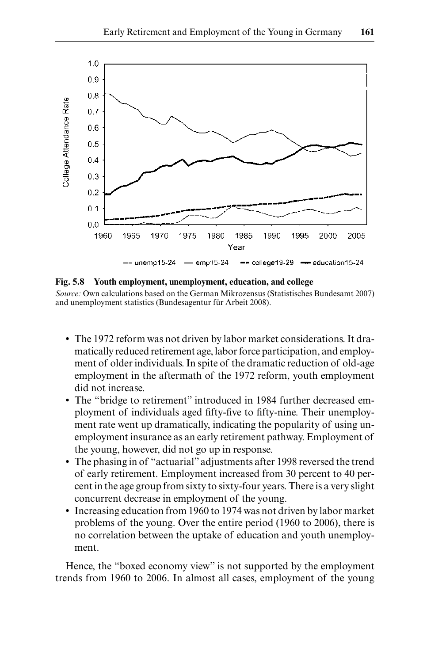

**Fig. 5.8 Youth employment, unemployment, education, and college**

*Source:* Own calculations based on the German Mikrozensus (Statistisches Bundesamt 2007) and unemployment statistics (Bundesagentur für Arbeit 2008).

- The 1972 reform was not driven by labor market considerations. It dramatically reduced retirement age, labor force participation, and employment of older individuals. In spite of the dramatic reduction of old-age employment in the aftermath of the 1972 reform, youth employment did not increase.
- The "bridge to retirement" introduced in 1984 further decreased employment of individuals aged fifty-five to fifty-nine. Their unemployment rate went up dramatically, indicating the popularity of using unemployment insurance as an early retirement pathway. Employment of the young, however, did not go up in response.
- The phasing in of "actuarial" adjustments after 1998 reversed the trend of early retirement. Employment increased from 30 percent to 40 percent in the age group from sixty to sixty- four years. There is a very slight concurrent decrease in employment of the young.
- Increasing education from 1960 to 1974 was not driven by labor market problems of the young. Over the entire period (1960 to 2006), there is no correlation between the uptake of education and youth unemployment.

Hence, the "boxed economy view" is not supported by the employment trends from 1960 to 2006. In almost all cases, employment of the young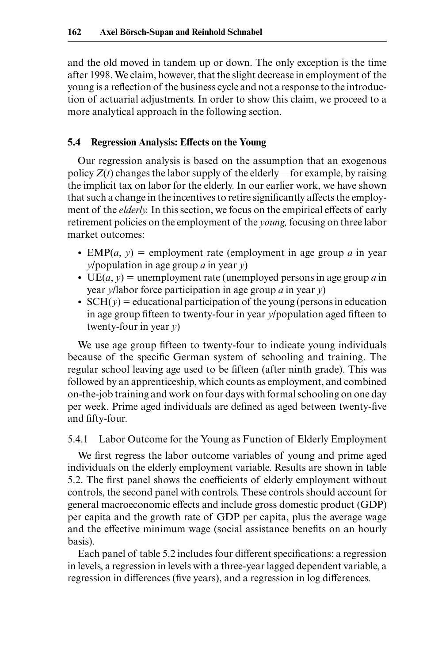and the old moved in tandem up or down. The only exception is the time after 1998. We claim, however, that the slight decrease in employment of the young is a reflection of the business cycle and not a response to the introduction of actuarial adjustments. In order to show this claim, we proceed to a more analytical approach in the following section.

# **5.4 Regression Analysis: Effects on the Young**

Our regression analysis is based on the assumption that an exogenous policy  $Z(t)$  changes the labor supply of the elderly—for example, by raising the implicit tax on labor for the elderly. In our earlier work, we have shown that such a change in the incentives to retire significantly affects the employment of the *elderly.* In this section, we focus on the empirical effects of early retirement policies on the employment of the *young,* focusing on three labor market outcomes:

- EMP $(a, y)$  = employment rate (employment in age group *a* in year *y*/population in age group *a* in year *y*)
- UE(*a*, *y*) = unemployment rate (unemployed persons in age group *a* in year *y*/labor force participation in age group *a* in year *y*)
- $SCH(y) =$  educational participation of the young (persons in education in age group fifteen to twenty-four in year *y*/population aged fifteen to twenty- four in year *y*)

We use age group fifteen to twenty-four to indicate young individuals because of the specific German system of schooling and training. The regular school leaving age used to be fifteen (after ninth grade). This was followed by an apprenticeship, which counts as employment, and combined on- the- job training and work on four days with formal schooling on one day per week. Prime aged individuals are defined as aged between twenty-five and fifty-four.

5.4.1 Labor Outcome for the Young as Function of Elderly Employment

We first regress the labor outcome variables of young and prime aged individuals on the elderly employment variable. Results are shown in table 5.2. The first panel shows the coefficients of elderly employment without controls, the second panel with controls. These controls should account for general macroeconomic effects and include gross domestic product (GDP) per capita and the growth rate of GDP per capita, plus the average wage and the effective minimum wage (social assistance benefits on an hourly basis).

Each panel of table 5.2 includes four different specifications: a regression in levels, a regression in levels with a three- year lagged dependent variable, a regression in differences (five years), and a regression in log differences.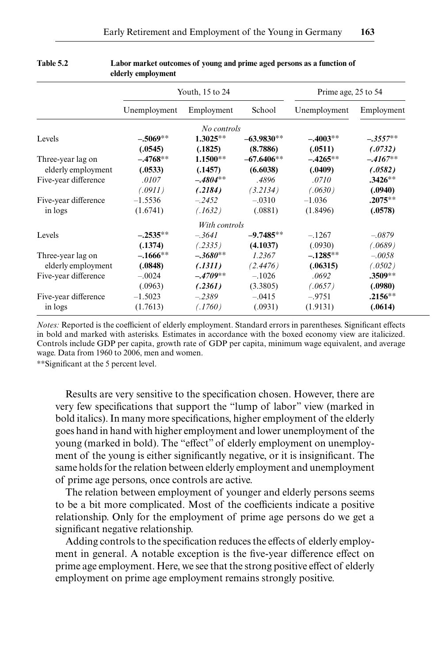|                      | Youth, 15 to 24 |               |              | Prime age, 25 to 54 |            |  |
|----------------------|-----------------|---------------|--------------|---------------------|------------|--|
|                      | Unemployment    | Employment    | School       | Unemployment        | Employment |  |
|                      |                 | No controls   |              |                     |            |  |
| Levels               | $-.5069**$      | $1.3025**$    | $-63.9830**$ | $-.4003**$          | $-.3557**$ |  |
|                      | (.0545)         | (.1825)       | (8.7886)     | (.0511)             | (.0732)    |  |
| Three-year lag on    | $-.4768**$      | $1.1500**$    | $-67.6406**$ | $-.4265**$          | $-.4167**$ |  |
| elderly employment   | (.0533)         | (.1457)       | (6.6038)     | (.0409)             | (.0582)    |  |
| Five-year difference | .0107           | $-.4804**$    | .4896        | .0710               | $.3426**$  |  |
|                      | (.0911)         | (.2184)       | (3.2134)     | (.0630)             | (.0940)    |  |
| Five-year difference | $-1.5536$       | $-.2452$      | $-.0310$     | $-1.036$            | $.2075**$  |  |
| in logs              | (1.6741)        | (.1632)       | (.0881)      | (1.8496)            | (.0578)    |  |
|                      |                 | With controls |              |                     |            |  |
| Levels               | $-.2535**$      | $-.3641$      | $-9.7485**$  | $-.1267$            | $-.0879$   |  |
|                      | (.1374)         | (.2335)       | (4.1037)     | (.0930)             | (.0689)    |  |
| Three-year lag on    | $-.1666**$      | $-.3680**$    | 1.2367       | $-.1285**$          | $-.0058$   |  |
| elderly employment   | (.0848)         | (.1311)       | (2.4476)     | (.06315)            | (.0502)    |  |
| Five-year difference | $-.0024$        | $-.4709**$    | $-.1026$     | .0692               | $.3509**$  |  |
|                      | (.0963)         | (.2361)       | (3.3805)     | (.0657)             | (.0980)    |  |
| Five-year difference | $-1.5023$       | $-.2389$      | $-.0415$     | $-.9751$            | $.2156**$  |  |
| in logs              | (1.7613)        | (.1760)       | (.0931)      | (1.9131)            | (.0614)    |  |

#### **Table 5.2 Labor market outcomes of young and prime aged persons as a function of elderly employment**

*Notes:* Reported is the coefficient of elderly employment. Standard errors in parentheses. Significant effects in bold and marked with asterisks. Estimates in accordance with the boxed economy view are italicized. Controls include GDP per capita, growth rate of GDP per capita, minimum wage equivalent, and average wage. Data from 1960 to 2006, men and women.

∗∗Signifi cant at the 5 percent level.

Results are very sensitive to the specification chosen. However, there are very few specifications that support the "lump of labor" view (marked in bold italics). In many more specifications, higher employment of the elderly goes hand in hand with higher employment and lower unemployment of the young (marked in bold). The "effect" of elderly employment on unemployment of the young is either significantly negative, or it is insignificant. The same holds for the relation between elderly employment and unemployment of prime age persons, once controls are active.

The relation between employment of younger and elderly persons seems to be a bit more complicated. Most of the coefficients indicate a positive relationship. Only for the employment of prime age persons do we get a significant negative relationship.

Adding controls to the specification reduces the effects of elderly employment in general. A notable exception is the five-year difference effect on prime age employment. Here, we see that the strong positive effect of elderly employment on prime age employment remains strongly positive.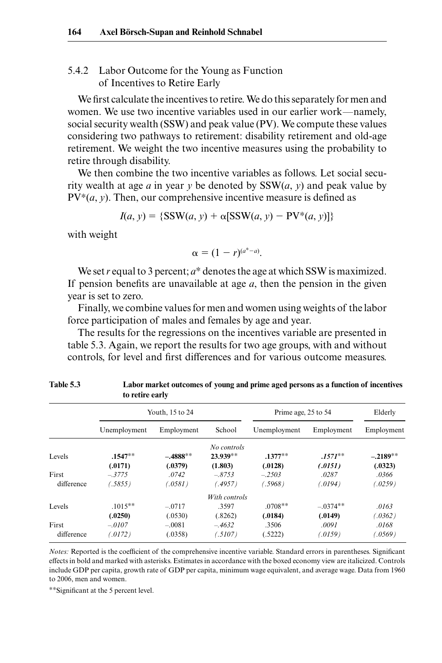# 5.4.2 Labor Outcome for the Young as Function of Incentives to Retire Early

We first calculate the incentives to retire. We do this separately for men and women. We use two incentive variables used in our earlier work—namely, social security wealth (SSW) and peak value (PV). We compute these values considering two pathways to retirement: disability retirement and old-age retirement. We weight the two incentive measures using the probability to retire through disability.

We then combine the two incentive variables as follows. Let social security wealth at age *a* in year *y* be denoted by SSW(*a*, *y*) and peak value by  $PV<sup>*</sup>(a, y)$ . Then, our comprehensive incentive measure is defined as

$$
I(a, y) = \{SSW(a, y) + \alpha[SSW(a, y) - PV^*(a, y)]\}
$$

with weight

$$
\alpha=(1-r)^{(a^*-a)}.
$$

We set *r* equal to 3 percent; *a*<sup>\*</sup> denotes the age at which SSW is maximized. If pension benefits are unavailable at age  $a$ , then the pension in the given year is set to zero.

Finally, we combine values for men and women using weights of the labor force participation of males and females by age and year.

The results for the regressions on the incentives variable are presented in table 5.3. Again, we report the results for two age groups, with and without controls, for level and first differences and for various outcome measures.

|            | Youth, 15 to 24 |            |               | Prime age, 25 to 54 |            | Elderly    |  |
|------------|-----------------|------------|---------------|---------------------|------------|------------|--|
|            | Unemployment    | Employment | School        | Unemployment        | Employment | Employment |  |
|            |                 |            | No controls   |                     |            |            |  |
| Levels     | $.1547**$       | $-.4888**$ | 23.939**      | $.1377**$           | $.1571**$  | $-.2189**$ |  |
|            | (.0171)         | (.0379)    | (1.803)       | (.0128)             | (.0151)    | (.0323)    |  |
| First      | $-.3775$        | .0742      | $-.8753$      | $-.2503$            | .0287      | .0366      |  |
| difference | (.5855)         | (.0581)    | (.4957)       | (.5968)             | (.0194)    | (.0259)    |  |
|            |                 |            | With controls |                     |            |            |  |
| Levels     | $.1015**$       | $-.0717$   | .3597         | $.0708**$           | $-.0374**$ | .0163      |  |
|            | (.0250)         | (.0530)    | (.8262)       | (.0184)             | (.0149)    | (.0362)    |  |
| First      | $-.0107$        | $-.0081$   | $-.4632$      | .3506               | .0091      | .0168      |  |
| difference | (.0172)         | (.0358)    | (.5107)       | (.5222)             | (.0159)    | (.0569)    |  |

| <b>Table 5.3</b> | Labor market outcomes of young and prime aged persons as a function of incentives |
|------------------|-----------------------------------------------------------------------------------|
|                  | to retire early                                                                   |

*Notes:* Reported is the coefficient of the comprehensive incentive variable. Standard errors in parentheses. Significant effects in bold and marked with asterisks. Estimates in accordance with the boxed economy view are italicized. Controls include GDP per capita, growth rate of GDP per capita, minimum wage equivalent, and average wage. Data from 1960 to 2006, men and women.

∗∗Signifi cant at the 5 percent level.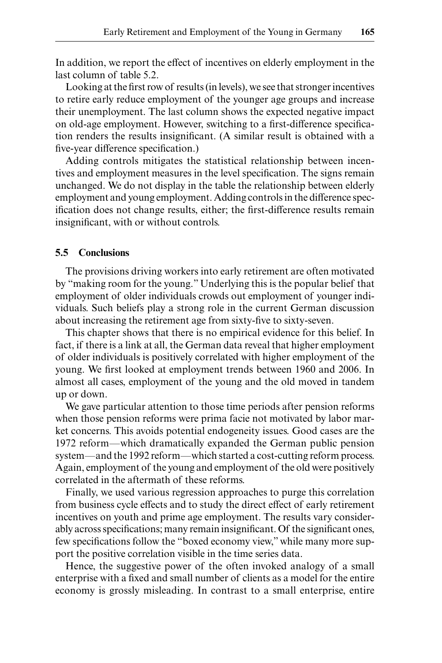In addition, we report the effect of incentives on elderly employment in the last column of table 5.2.

Looking at the first row of results (in levels), we see that stronger incentives to retire early reduce employment of the younger age groups and increase their unemployment. The last column shows the expected negative impact on old-age employment. However, switching to a first-difference specification renders the results insignificant. (A similar result is obtained with a five-year difference specification.)

Adding controls mitigates the statistical relationship between incentives and employment measures in the level specification. The signs remain unchanged. We do not display in the table the relationship between elderly employment and young employment. Adding controls in the difference specification does not change results, either; the first-difference results remain insignificant, with or without controls.

## **5.5 Conclusions**

The provisions driving workers into early retirement are often motivated by "making room for the young." Underlying this is the popular belief that employment of older individuals crowds out employment of younger individuals. Such beliefs play a strong role in the current German discussion about increasing the retirement age from sixty-five to sixty-seven.

This chapter shows that there is no empirical evidence for this belief. In fact, if there is a link at all, the German data reveal that higher employment of older individuals is positively correlated with higher employment of the young. We first looked at employment trends between 1960 and 2006. In almost all cases, employment of the young and the old moved in tandem up or down.

We gave particular attention to those time periods after pension reforms when those pension reforms were prima facie not motivated by labor market concerns. This avoids potential endogeneity issues. Good cases are the 1972 reform—which dramatically expanded the German public pension system—and the 1992 reform—which started a cost-cutting reform process. Again, employment of the young and employment of the old were positively correlated in the aftermath of these reforms.

Finally, we used various regression approaches to purge this correlation from business cycle effects and to study the direct effect of early retirement incentives on youth and prime age employment. The results vary considerably across specifications; many remain insignificant. Of the significant ones, few specifications follow the "boxed economy view," while many more support the positive correlation visible in the time series data.

Hence, the suggestive power of the often invoked analogy of a small enterprise with a fixed and small number of clients as a model for the entire economy is grossly misleading. In contrast to a small enterprise, entire